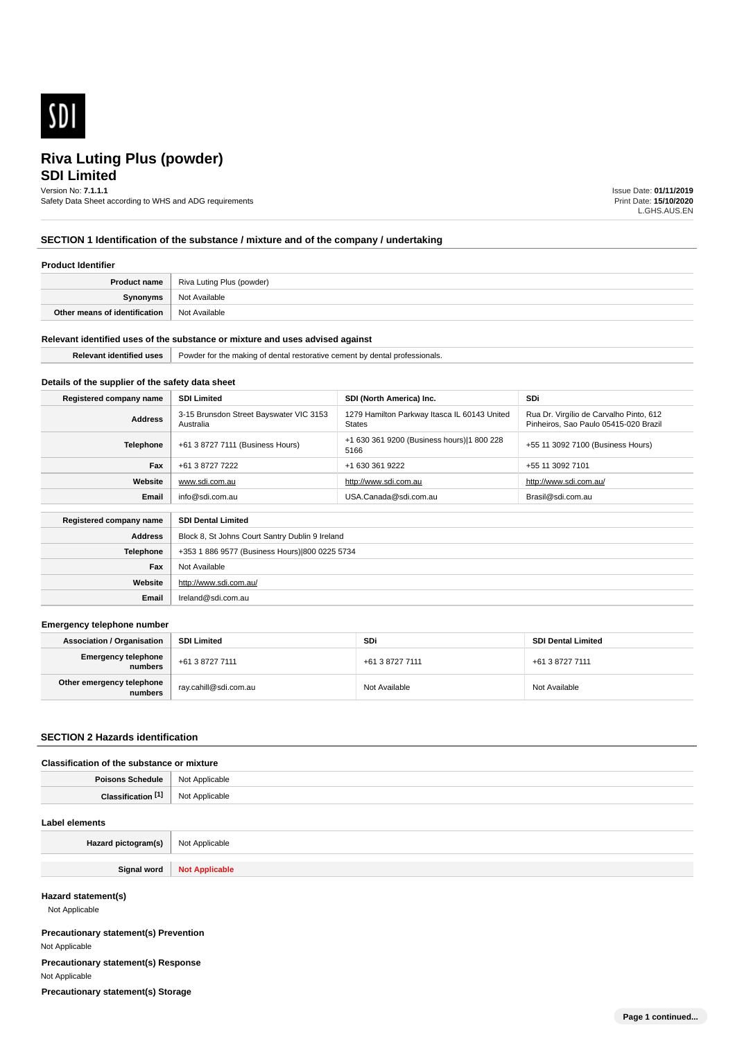

# **SDI Limited Riva Luting Plus (powder)**

# Version No: **7.1.1.1**

Safety Data Sheet according to WHS and ADG requirements

Issue Date: **01/11/2019** Print Date: **15/10/2020** L.GHS.AUS.EN

# **SECTION 1 Identification of the substance / mixture and of the company / undertaking**

#### **Product Identifier**

|                               | <b>Product name</b>   Riva Luting Plus (powder) |
|-------------------------------|-------------------------------------------------|
| Synonyms                      | Not Available                                   |
| Other means of identification | Not Available                                   |

#### **Relevant identified uses of the substance or mixture and uses advised against**

| <b>Polovany</b><br><b>HISA</b> | Powder for the making u<br>dental<br>dental:<br>I restorative cement by<br>' professionals.<br>$ -$ |
|--------------------------------|-----------------------------------------------------------------------------------------------------|
|                                |                                                                                                     |

# **Details of the supplier of the safety data sheet**

**Website**

**Email** Ireland@sdi.com.au

http://www.sdi.com.au/

| Registered company name | <b>SDI Limited</b>                                   | SDI (North America) Inc.                                      | <b>SDi</b>                                                                       |
|-------------------------|------------------------------------------------------|---------------------------------------------------------------|----------------------------------------------------------------------------------|
| <b>Address</b>          | 3-15 Brunsdon Street Bayswater VIC 3153<br>Australia | 1279 Hamilton Parkway Itasca IL 60143 United<br><b>States</b> | Rua Dr. Virgílio de Carvalho Pinto, 612<br>Pinheiros, Sao Paulo 05415-020 Brazil |
| <b>Telephone</b>        | +61 3 8727 7111 (Business Hours)                     | +1 630 361 9200 (Business hours) 1 800 228<br>5166            | +55 11 3092 7100 (Business Hours)                                                |
| Fax                     | +61 3 8727 7222                                      | +1 630 361 9222                                               | +55 11 3092 7101                                                                 |
| Website                 | www.sdi.com.au                                       | http://www.sdi.com.au                                         | http://www.sdi.com.au/                                                           |
| Email                   | info@sdi.com.au                                      | USA.Canada@sdi.com.au                                         | Brasil@sdi.com.au                                                                |
|                         |                                                      |                                                               |                                                                                  |
| Registered company name | <b>SDI Dental Limited</b>                            |                                                               |                                                                                  |
| <b>Address</b>          | Block 8, St Johns Court Santry Dublin 9 Ireland      |                                                               |                                                                                  |
| <b>Telephone</b>        | +353 1 886 9577 (Business Hours) 800 0225 5734       |                                                               |                                                                                  |
| Fax                     | Not Available                                        |                                                               |                                                                                  |

#### **Emergency telephone number**

| <b>Association / Organisation</b>    | <b>SDI Limited</b>    | <b>SDi</b>      | <b>SDI Dental Limited</b> |
|--------------------------------------|-----------------------|-----------------|---------------------------|
| Emergency telephone<br>numbers       | +61 3 8727 7111       | +61 3 8727 7111 | +61 3 8727 7111           |
| Other emergency telephone<br>numbers | ray.cahill@sdi.com.au | Not Available   | Not Available             |

## **SECTION 2 Hazards identification**

#### **Classification of the substance or mixture**

| Poisons<br>Schedule     | <b>Not</b><br>: Applicable<br>. |
|-------------------------|---------------------------------|
| <b>PAN</b><br>Clessific | ilicable                        |

#### **Label elements**

| Hazard pictogram(s) | <sup>1</sup> Not Applicable |
|---------------------|-----------------------------|
|                     |                             |
| Signal word         | <b>Not Applicable</b>       |

#### **Hazard statement(s)**

Not Applicable

**Precautionary statement(s) Prevention** Not Applicable **Precautionary statement(s) Response** Not Applicable **Precautionary statement(s) Storage**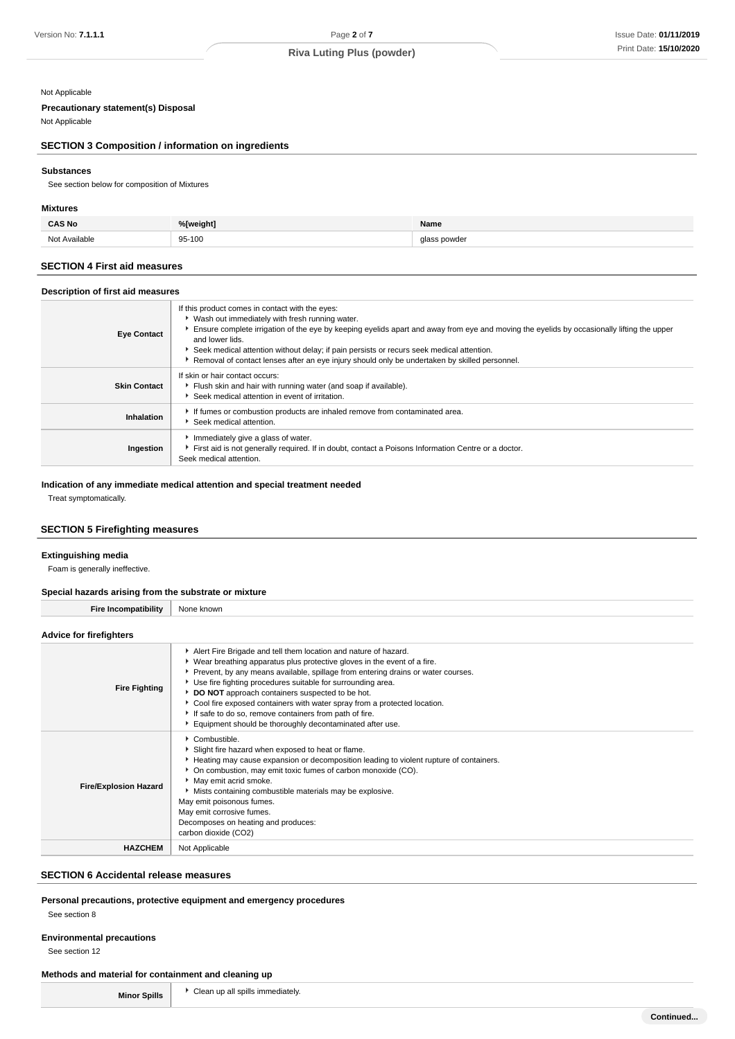## Not Applicable

# **Precautionary statement(s) Disposal**

Not Applicable

# **SECTION 3 Composition / information on ingredients**

## **Substances**

See section below for composition of Mixtures

## **Mixtures**

| CAS No<br>___         | %[weight]   | Name         |
|-----------------------|-------------|--------------|
| Not<br>Avoiloble<br>. | 95-100<br>. | nowida.<br>. |

### **SECTION 4 First aid measures**

#### **Description of first aid measures**

| <b>Eye Contact</b>  | If this product comes in contact with the eyes:<br>• Wash out immediately with fresh running water.<br>Ensure complete irrigation of the eye by keeping eyelids apart and away from eye and moving the eyelids by occasionally lifting the upper<br>and lower lids.<br>▶ Seek medical attention without delay; if pain persists or recurs seek medical attention.<br>Removal of contact lenses after an eye injury should only be undertaken by skilled personnel. |
|---------------------|--------------------------------------------------------------------------------------------------------------------------------------------------------------------------------------------------------------------------------------------------------------------------------------------------------------------------------------------------------------------------------------------------------------------------------------------------------------------|
| <b>Skin Contact</b> | If skin or hair contact occurs:<br>Flush skin and hair with running water (and soap if available).<br>Seek medical attention in event of irritation.                                                                                                                                                                                                                                                                                                               |
| Inhalation          | If fumes or combustion products are inhaled remove from contaminated area.<br>Seek medical attention.                                                                                                                                                                                                                                                                                                                                                              |
| Ingestion           | Immediately give a glass of water.<br>First aid is not generally required. If in doubt, contact a Poisons Information Centre or a doctor.<br>Seek medical attention.                                                                                                                                                                                                                                                                                               |

#### **Indication of any immediate medical attention and special treatment needed**

Treat symptomatically.

## **SECTION 5 Firefighting measures**

#### **Extinguishing media**

Foam is generally ineffective.

## **Special hazards arising from the substrate or mixture**

| Opecial Hazards arising from the substrate of imature |                                                                                                                                                                                                                                                                                                                                                                                                                                                                                                                                                          |  |
|-------------------------------------------------------|----------------------------------------------------------------------------------------------------------------------------------------------------------------------------------------------------------------------------------------------------------------------------------------------------------------------------------------------------------------------------------------------------------------------------------------------------------------------------------------------------------------------------------------------------------|--|
| <b>Fire Incompatibility</b>                           | None known                                                                                                                                                                                                                                                                                                                                                                                                                                                                                                                                               |  |
| <b>Advice for firefighters</b>                        |                                                                                                                                                                                                                                                                                                                                                                                                                                                                                                                                                          |  |
| <b>Fire Fighting</b>                                  | Alert Fire Brigade and tell them location and nature of hazard.<br>▶ Wear breathing apparatus plus protective gloves in the event of a fire.<br>▶ Prevent, by any means available, spillage from entering drains or water courses.<br>▶ Use fire fighting procedures suitable for surrounding area.<br>DO NOT approach containers suspected to be hot.<br>Cool fire exposed containers with water spray from a protected location.<br>If safe to do so, remove containers from path of fire.<br>Equipment should be thoroughly decontaminated after use. |  |
| <b>Fire/Explosion Hazard</b>                          | Combustible.<br>Slight fire hazard when exposed to heat or flame.<br>Heating may cause expansion or decomposition leading to violent rupture of containers.<br>• On combustion, may emit toxic fumes of carbon monoxide (CO).<br>May emit acrid smoke.<br>Mists containing combustible materials may be explosive.<br>May emit poisonous fumes.<br>May emit corrosive fumes.<br>Decomposes on heating and produces:<br>carbon dioxide (CO2)                                                                                                              |  |
| <b>HAZCHEM</b>                                        | Not Applicable                                                                                                                                                                                                                                                                                                                                                                                                                                                                                                                                           |  |

#### **SECTION 6 Accidental release measures**

## **Personal precautions, protective equipment and emergency procedures**

See section 8

#### **Environmental precautions**

See section 12

#### **Methods and material for containment and cleaning up**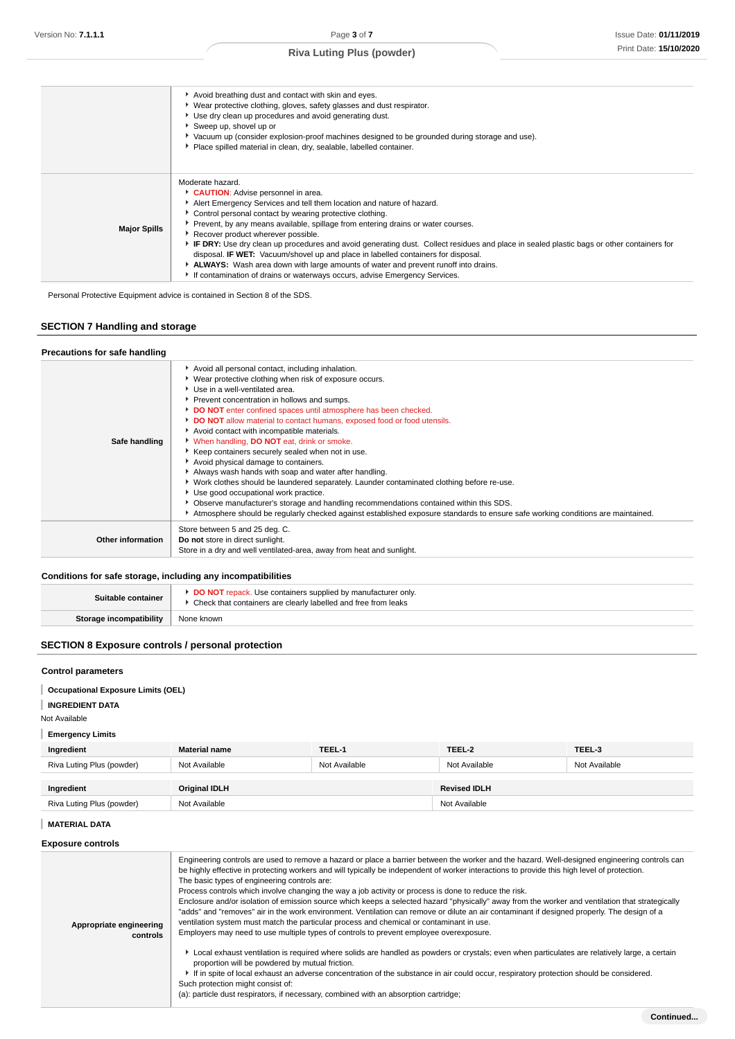|                     | Avoid breathing dust and contact with skin and eyes.<br>▶ Wear protective clothing, gloves, safety glasses and dust respirator.<br>Use dry clean up procedures and avoid generating dust.<br>Sweep up, shovel up or<br>▶ Vacuum up (consider explosion-proof machines designed to be grounded during storage and use).<br>Place spilled material in clean, dry, sealable, labelled container.                                                                                                                                                                                                                                                                                                                                  |
|---------------------|--------------------------------------------------------------------------------------------------------------------------------------------------------------------------------------------------------------------------------------------------------------------------------------------------------------------------------------------------------------------------------------------------------------------------------------------------------------------------------------------------------------------------------------------------------------------------------------------------------------------------------------------------------------------------------------------------------------------------------|
| <b>Major Spills</b> | Moderate hazard.<br>CAUTION: Advise personnel in area.<br>Alert Emergency Services and tell them location and nature of hazard.<br>• Control personal contact by wearing protective clothing.<br>Prevent, by any means available, spillage from entering drains or water courses.<br>Recover product wherever possible.<br>F IF DRY: Use dry clean up procedures and avoid generating dust. Collect residues and place in sealed plastic bags or other containers for<br>disposal. IF WET: Vacuum/shovel up and place in labelled containers for disposal.<br>ALWAYS: Wash area down with large amounts of water and prevent runoff into drains.<br>If contamination of drains or waterways occurs, advise Emergency Services. |

Personal Protective Equipment advice is contained in Section 8 of the SDS.

# **SECTION 7 Handling and storage**

#### **Precautions for safe handling**

| Avoid all personal contact, including inhalation.<br>▶ Wear protective clothing when risk of exposure occurs.<br>Use in a well-ventilated area.<br>Prevent concentration in hollows and sumps.<br>DO NOT enter confined spaces until atmosphere has been checked.<br>DO NOT allow material to contact humans, exposed food or food utensils.<br>Avoid contact with incompatible materials.<br>* When handling, DO NOT eat, drink or smoke.<br>▶ Keep containers securely sealed when not in use.<br>Avoid physical damage to containers.<br>Always wash hands with soap and water after handling.<br>▶ Work clothes should be laundered separately. Launder contaminated clothing before re-use.<br>Use good occupational work practice.<br>▶ Observe manufacturer's storage and handling recommendations contained within this SDS.<br>Atmosphere should be regularly checked against established exposure standards to ensure safe working conditions are maintained. |
|-------------------------------------------------------------------------------------------------------------------------------------------------------------------------------------------------------------------------------------------------------------------------------------------------------------------------------------------------------------------------------------------------------------------------------------------------------------------------------------------------------------------------------------------------------------------------------------------------------------------------------------------------------------------------------------------------------------------------------------------------------------------------------------------------------------------------------------------------------------------------------------------------------------------------------------------------------------------------|
| Store between 5 and 25 deg. C.<br>Do not store in direct sunlight.<br>Store in a dry and well ventilated-area, away from heat and sunlight.                                                                                                                                                                                                                                                                                                                                                                                                                                                                                                                                                                                                                                                                                                                                                                                                                             |
|                                                                                                                                                                                                                                                                                                                                                                                                                                                                                                                                                                                                                                                                                                                                                                                                                                                                                                                                                                         |

# **Conditions for safe storage, including any incompatibilities**

| Suitable container             | <b>DO NOT</b> repack. Use containers supplied by manufacturer only.<br>Check that containers are clearly labelled and free from leaks |
|--------------------------------|---------------------------------------------------------------------------------------------------------------------------------------|
| <b>Storage incompatibility</b> | None known                                                                                                                            |

# **SECTION 8 Exposure controls / personal protection**

#### **Control parameters**

**Occupational Exposure Limits (OEL)**

# **INGREDIENT DATA**

Not Available

## **Emergency Limits**

| Ingredient                | <b>Material name</b> | TEEL-1        | TEEL-2              | TEEL-3        |
|---------------------------|----------------------|---------------|---------------------|---------------|
| Riva Luting Plus (powder) | Not Available        | Not Available | Not Available       | Not Available |
| Ingredient                | <b>Original IDLH</b> |               | <b>Revised IDLH</b> |               |
| Riva Luting Plus (powder) | Not Available        |               | Not Available       |               |

#### **MATERIAL DATA**

## **Exposure controls**

| Engineering controls are used to remove a hazard or place a barrier between the worker and the hazard. Well-designed engineering controls can<br>be highly effective in protecting workers and will typically be independent of worker interactions to provide this high level of protection.<br>The basic types of engineering controls are:<br>Process controls which involve changing the way a job activity or process is done to reduce the risk.<br>Enclosure and/or isolation of emission source which keeps a selected hazard "physically" away from the worker and ventilation that strategically<br>"adds" and "removes" air in the work environment. Ventilation can remove or dilute an air contaminant if designed properly. The design of a<br>ventilation system must match the particular process and chemical or contaminant in use.<br>Employers may need to use multiple types of controls to prevent employee overexposure. |
|-------------------------------------------------------------------------------------------------------------------------------------------------------------------------------------------------------------------------------------------------------------------------------------------------------------------------------------------------------------------------------------------------------------------------------------------------------------------------------------------------------------------------------------------------------------------------------------------------------------------------------------------------------------------------------------------------------------------------------------------------------------------------------------------------------------------------------------------------------------------------------------------------------------------------------------------------|
| ► Local exhaust ventilation is required where solids are handled as powders or crystals; even when particulates are relatively large, a certain<br>proportion will be powdered by mutual friction.<br>If in spite of local exhaust an adverse concentration of the substance in air could occur, respiratory protection should be considered.<br>Such protection might consist of:<br>(a): particle dust respirators, if necessary, combined with an absorption cartridge;                                                                                                                                                                                                                                                                                                                                                                                                                                                                      |
|                                                                                                                                                                                                                                                                                                                                                                                                                                                                                                                                                                                                                                                                                                                                                                                                                                                                                                                                                 |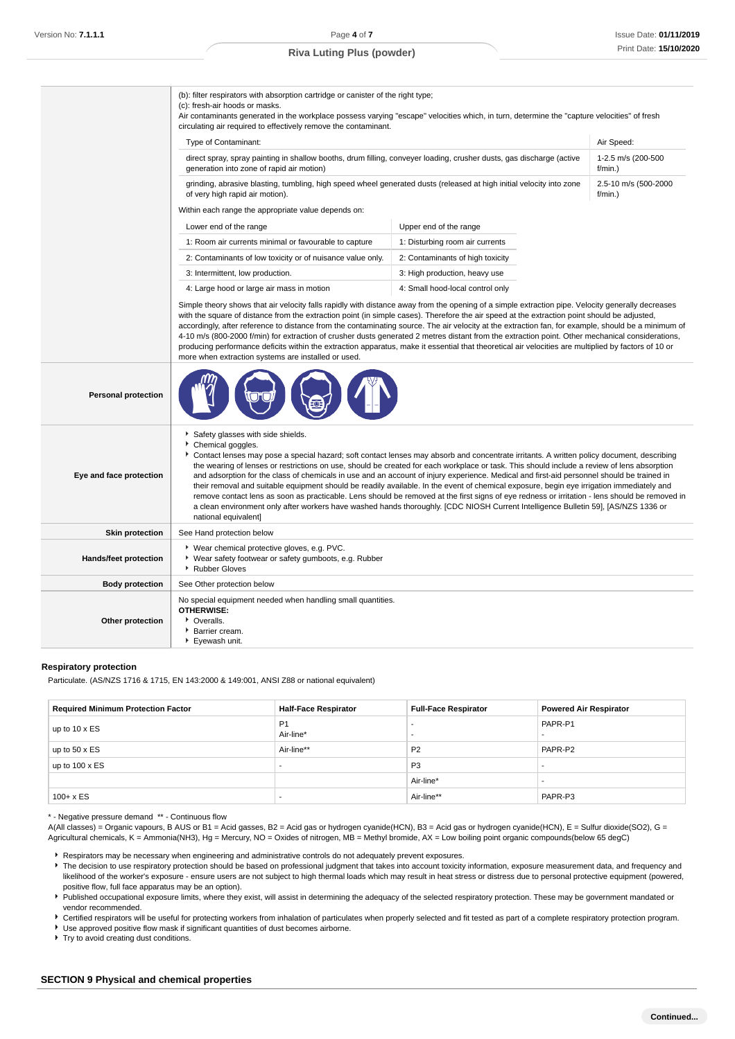|                            | (b): filter respirators with absorption cartridge or canister of the right type;<br>(c): fresh-air hoods or masks.<br>Air contaminants generated in the workplace possess varying "escape" velocities which, in turn, determine the "capture velocities" of fresh<br>circulating air required to effectively remove the contaminant.                                                                                                                                                                                                                                                                                                                                                                                                                                                                                                                                                                                                                          |                                  |                                    |
|----------------------------|---------------------------------------------------------------------------------------------------------------------------------------------------------------------------------------------------------------------------------------------------------------------------------------------------------------------------------------------------------------------------------------------------------------------------------------------------------------------------------------------------------------------------------------------------------------------------------------------------------------------------------------------------------------------------------------------------------------------------------------------------------------------------------------------------------------------------------------------------------------------------------------------------------------------------------------------------------------|----------------------------------|------------------------------------|
|                            | Type of Contaminant:                                                                                                                                                                                                                                                                                                                                                                                                                                                                                                                                                                                                                                                                                                                                                                                                                                                                                                                                          |                                  | Air Speed:                         |
|                            | direct spray, spray painting in shallow booths, drum filling, conveyer loading, crusher dusts, gas discharge (active<br>generation into zone of rapid air motion)                                                                                                                                                                                                                                                                                                                                                                                                                                                                                                                                                                                                                                                                                                                                                                                             |                                  | 1-2.5 m/s (200-500<br>$f/min.$ )   |
|                            | grinding, abrasive blasting, tumbling, high speed wheel generated dusts (released at high initial velocity into zone<br>of very high rapid air motion).                                                                                                                                                                                                                                                                                                                                                                                                                                                                                                                                                                                                                                                                                                                                                                                                       |                                  | 2.5-10 m/s (500-2000<br>$f/min.$ ) |
|                            | Within each range the appropriate value depends on:                                                                                                                                                                                                                                                                                                                                                                                                                                                                                                                                                                                                                                                                                                                                                                                                                                                                                                           |                                  |                                    |
|                            | Lower end of the range                                                                                                                                                                                                                                                                                                                                                                                                                                                                                                                                                                                                                                                                                                                                                                                                                                                                                                                                        | Upper end of the range           |                                    |
|                            | 1: Room air currents minimal or favourable to capture                                                                                                                                                                                                                                                                                                                                                                                                                                                                                                                                                                                                                                                                                                                                                                                                                                                                                                         | 1: Disturbing room air currents  |                                    |
|                            | 2: Contaminants of low toxicity or of nuisance value only.                                                                                                                                                                                                                                                                                                                                                                                                                                                                                                                                                                                                                                                                                                                                                                                                                                                                                                    | 2: Contaminants of high toxicity |                                    |
|                            | 3: Intermittent, low production.                                                                                                                                                                                                                                                                                                                                                                                                                                                                                                                                                                                                                                                                                                                                                                                                                                                                                                                              | 3: High production, heavy use    |                                    |
|                            | 4: Large hood or large air mass in motion                                                                                                                                                                                                                                                                                                                                                                                                                                                                                                                                                                                                                                                                                                                                                                                                                                                                                                                     | 4: Small hood-local control only |                                    |
|                            | with the square of distance from the extraction point (in simple cases). Therefore the air speed at the extraction point should be adjusted,<br>accordingly, after reference to distance from the contaminating source. The air velocity at the extraction fan, for example, should be a minimum of<br>4-10 m/s (800-2000 f/min) for extraction of crusher dusts generated 2 metres distant from the extraction point. Other mechanical considerations,<br>producing performance deficits within the extraction apparatus, make it essential that theoretical air velocities are multiplied by factors of 10 or<br>more when extraction systems are installed or used.                                                                                                                                                                                                                                                                                        |                                  |                                    |
| <b>Personal protection</b> |                                                                                                                                                                                                                                                                                                                                                                                                                                                                                                                                                                                                                                                                                                                                                                                                                                                                                                                                                               |                                  |                                    |
| Eye and face protection    | Safety glasses with side shields.<br>Chemical goggles.<br>Contact lenses may pose a special hazard; soft contact lenses may absorb and concentrate irritants. A written policy document, describing<br>the wearing of lenses or restrictions on use, should be created for each workplace or task. This should include a review of lens absorption<br>and adsorption for the class of chemicals in use and an account of injury experience. Medical and first-aid personnel should be trained in<br>their removal and suitable equipment should be readily available. In the event of chemical exposure, begin eye irrigation immediately and<br>remove contact lens as soon as practicable. Lens should be removed at the first signs of eye redness or irritation - lens should be removed in<br>a clean environment only after workers have washed hands thoroughly. [CDC NIOSH Current Intelligence Bulletin 59], [AS/NZS 1336 or<br>national equivalent] |                                  |                                    |
| <b>Skin protection</b>     | See Hand protection below                                                                                                                                                                                                                                                                                                                                                                                                                                                                                                                                                                                                                                                                                                                                                                                                                                                                                                                                     |                                  |                                    |
| Hands/feet protection      | * Wear chemical protective gloves, e.g. PVC.<br>▶ Wear safety footwear or safety gumboots, e.g. Rubber<br>Rubber Gloves                                                                                                                                                                                                                                                                                                                                                                                                                                                                                                                                                                                                                                                                                                                                                                                                                                       |                                  |                                    |
| <b>Body protection</b>     | See Other protection below                                                                                                                                                                                                                                                                                                                                                                                                                                                                                                                                                                                                                                                                                                                                                                                                                                                                                                                                    |                                  |                                    |
| Other protection           | No special equipment needed when handling small quantities.<br><b>OTHERWISE:</b><br>• Overalls.<br>Barrier cream.<br>Eyewash unit.                                                                                                                                                                                                                                                                                                                                                                                                                                                                                                                                                                                                                                                                                                                                                                                                                            |                                  |                                    |

#### **Respiratory protection**

Particulate. (AS/NZS 1716 & 1715, EN 143:2000 & 149:001, ANSI Z88 or national equivalent)

| <b>Required Minimum Protection Factor</b> | <b>Half-Face Respirator</b> | <b>Full-Face Respirator</b> | <b>Powered Air Respirator</b> |
|-------------------------------------------|-----------------------------|-----------------------------|-------------------------------|
| up to 10 x ES                             | P <sub>1</sub><br>Air-line* |                             | PAPR-P1                       |
| up to $50 \times ES$                      | Air-line**                  | P <sub>2</sub>              | PAPR-P2                       |
| up to $100 \times ES$                     | -                           | P <sub>3</sub>              |                               |
|                                           |                             | Air-line*                   |                               |
| $100 + x ES$                              | -                           | Air-line**                  | PAPR-P3                       |

\* - Negative pressure demand \*\* - Continuous flow

A(All classes) = Organic vapours, B AUS or B1 = Acid gasses, B2 = Acid gas or hydrogen cyanide(HCN), B3 = Acid gas or hydrogen cyanide(HCN), E = Sulfur dioxide(SO2), G = Agricultural chemicals, K = Ammonia(NH3), Hg = Mercury, NO = Oxides of nitrogen, MB = Methyl bromide, AX = Low boiling point organic compounds(below 65 degC)

Respirators may be necessary when engineering and administrative controls do not adequately prevent exposures.

The decision to use respiratory protection should be based on professional judgment that takes into account toxicity information, exposure measurement data, and frequency and likelihood of the worker's exposure - ensure users are not subject to high thermal loads which may result in heat stress or distress due to personal protective equipment (powered, positive flow, full face apparatus may be an option).

Published occupational exposure limits, where they exist, will assist in determining the adequacy of the selected respiratory protection. These may be government mandated or vendor recommended.

Certified respirators will be useful for protecting workers from inhalation of particulates when properly selected and fit tested as part of a complete respiratory protection program.

Use approved positive flow mask if significant quantities of dust becomes airborne.

▶ Try to avoid creating dust conditions.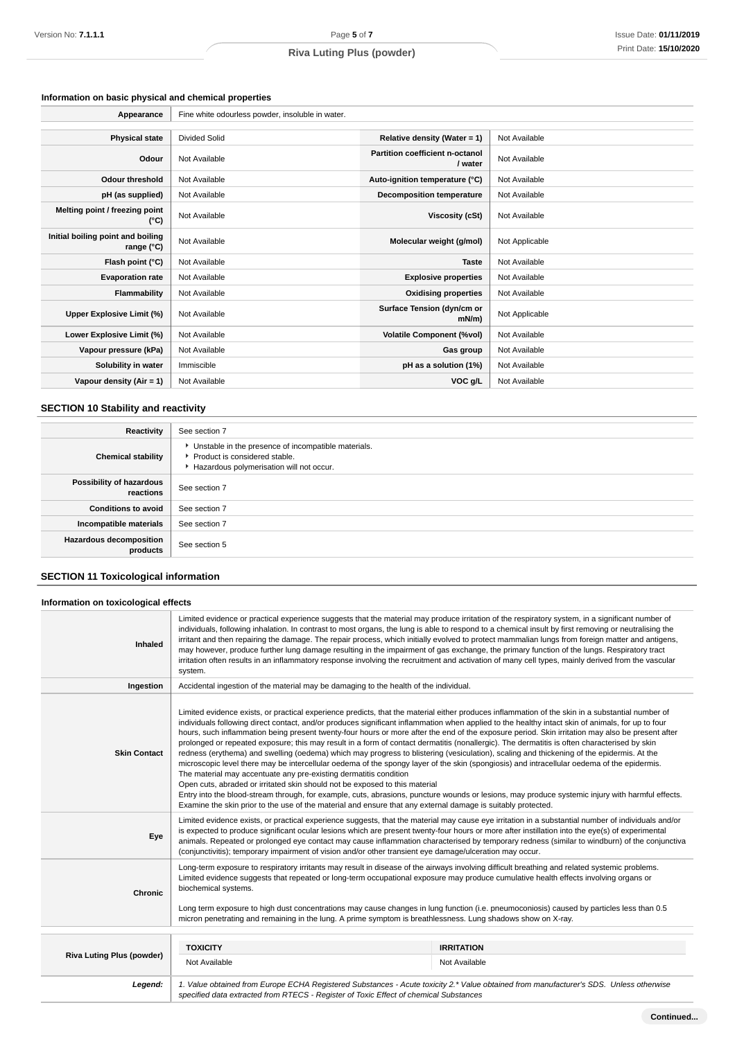# **Information on basic physical and chemical properties**

| Appearance                                      | Fine white odourless powder, insoluble in water. |                                            |                |
|-------------------------------------------------|--------------------------------------------------|--------------------------------------------|----------------|
|                                                 |                                                  |                                            |                |
| <b>Physical state</b>                           | Divided Solid                                    | Relative density (Water = 1)               | Not Available  |
| Odour                                           | Not Available                                    | Partition coefficient n-octanol<br>/ water | Not Available  |
| <b>Odour threshold</b>                          | Not Available                                    | Auto-ignition temperature (°C)             | Not Available  |
| pH (as supplied)                                | Not Available                                    | <b>Decomposition temperature</b>           | Not Available  |
| Melting point / freezing point<br>(°C)          | Not Available                                    | Viscosity (cSt)                            | Not Available  |
| Initial boiling point and boiling<br>range (°C) | Not Available                                    | Molecular weight (g/mol)                   | Not Applicable |
| Flash point (°C)                                | Not Available                                    | <b>Taste</b>                               | Not Available  |
| <b>Evaporation rate</b>                         | Not Available                                    | <b>Explosive properties</b>                | Not Available  |
| Flammability                                    | Not Available                                    | <b>Oxidising properties</b>                | Not Available  |
| Upper Explosive Limit (%)                       | Not Available                                    | Surface Tension (dyn/cm or<br>$mN/m$ )     | Not Applicable |
| Lower Explosive Limit (%)                       | Not Available                                    | <b>Volatile Component (%vol)</b>           | Not Available  |
| Vapour pressure (kPa)                           | Not Available                                    | Gas group                                  | Not Available  |
| Solubility in water                             | Immiscible                                       | pH as a solution (1%)                      | Not Available  |
| Vapour density (Air = 1)                        | Not Available                                    | VOC g/L                                    | Not Available  |

# **SECTION 10 Stability and reactivity**

| Reactivity                                 | See section 7                                                                                                                      |
|--------------------------------------------|------------------------------------------------------------------------------------------------------------------------------------|
| <b>Chemical stability</b>                  | • Unstable in the presence of incompatible materials.<br>Product is considered stable.<br>Hazardous polymerisation will not occur. |
| Possibility of hazardous<br>reactions      | See section 7                                                                                                                      |
| <b>Conditions to avoid</b>                 | See section 7                                                                                                                      |
| Incompatible materials                     | See section 7                                                                                                                      |
| <b>Hazardous decomposition</b><br>products | See section 5                                                                                                                      |

# **SECTION 11 Toxicological information**

## **Information on toxicological effects**

| Inhaled                          | Limited evidence or practical experience suggests that the material may produce irritation of the respiratory system, in a significant number of<br>individuals, following inhalation. In contrast to most organs, the lung is able to respond to a chemical insult by first removing or neutralising the<br>irritant and then repairing the damage. The repair process, which initially evolved to protect mammalian lungs from foreign matter and antigens,<br>may however, produce further lung damage resulting in the impairment of gas exchange, the primary function of the lungs. Respiratory tract<br>irritation often results in an inflammatory response involving the recruitment and activation of many cell types, mainly derived from the vascular<br>system.                                                                                                                                                                                                                                                                                                                                                                                                                                                                                                                                                  |                                    |  |
|----------------------------------|-------------------------------------------------------------------------------------------------------------------------------------------------------------------------------------------------------------------------------------------------------------------------------------------------------------------------------------------------------------------------------------------------------------------------------------------------------------------------------------------------------------------------------------------------------------------------------------------------------------------------------------------------------------------------------------------------------------------------------------------------------------------------------------------------------------------------------------------------------------------------------------------------------------------------------------------------------------------------------------------------------------------------------------------------------------------------------------------------------------------------------------------------------------------------------------------------------------------------------------------------------------------------------------------------------------------------------|------------------------------------|--|
| Ingestion                        | Accidental ingestion of the material may be damaging to the health of the individual.                                                                                                                                                                                                                                                                                                                                                                                                                                                                                                                                                                                                                                                                                                                                                                                                                                                                                                                                                                                                                                                                                                                                                                                                                                         |                                    |  |
| <b>Skin Contact</b>              | Limited evidence exists, or practical experience predicts, that the material either produces inflammation of the skin in a substantial number of<br>individuals following direct contact, and/or produces significant inflammation when applied to the healthy intact skin of animals, for up to four<br>hours, such inflammation being present twenty-four hours or more after the end of the exposure period. Skin irritation may also be present after<br>prolonged or repeated exposure; this may result in a form of contact dermatitis (nonallergic). The dermatitis is often characterised by skin<br>redness (erythema) and swelling (oedema) which may progress to blistering (vesiculation), scaling and thickening of the epidermis. At the<br>microscopic level there may be intercellular oedema of the spongy layer of the skin (spongiosis) and intracellular oedema of the epidermis.<br>The material may accentuate any pre-existing dermatitis condition<br>Open cuts, abraded or irritated skin should not be exposed to this material<br>Entry into the blood-stream through, for example, cuts, abrasions, puncture wounds or lesions, may produce systemic injury with harmful effects.<br>Examine the skin prior to the use of the material and ensure that any external damage is suitably protected. |                                    |  |
| Eye                              | Limited evidence exists, or practical experience suggests, that the material may cause eye irritation in a substantial number of individuals and/or<br>is expected to produce significant ocular lesions which are present twenty-four hours or more after instillation into the eye(s) of experimental<br>animals. Repeated or prolonged eye contact may cause inflammation characterised by temporary redness (similar to windburn) of the conjunctiva<br>(conjunctivitis); temporary impairment of vision and/or other transient eye damage/ulceration may occur.                                                                                                                                                                                                                                                                                                                                                                                                                                                                                                                                                                                                                                                                                                                                                          |                                    |  |
| Chronic                          | Long-term exposure to respiratory irritants may result in disease of the airways involving difficult breathing and related systemic problems.<br>Limited evidence suggests that repeated or long-term occupational exposure may produce cumulative health effects involving organs or<br>biochemical systems.<br>Long term exposure to high dust concentrations may cause changes in lung function (i.e. pneumoconiosis) caused by particles less than 0.5<br>micron penetrating and remaining in the lung. A prime symptom is breathlessness. Lung shadows show on X-ray.                                                                                                                                                                                                                                                                                                                                                                                                                                                                                                                                                                                                                                                                                                                                                    |                                    |  |
|                                  |                                                                                                                                                                                                                                                                                                                                                                                                                                                                                                                                                                                                                                                                                                                                                                                                                                                                                                                                                                                                                                                                                                                                                                                                                                                                                                                               |                                    |  |
| <b>Riva Luting Plus (powder)</b> | <b>TOXICITY</b><br>Not Available                                                                                                                                                                                                                                                                                                                                                                                                                                                                                                                                                                                                                                                                                                                                                                                                                                                                                                                                                                                                                                                                                                                                                                                                                                                                                              | <b>IRRITATION</b><br>Not Available |  |
| Legend:                          | 1. Value obtained from Europe ECHA Registered Substances - Acute toxicity 2.* Value obtained from manufacturer's SDS. Unless otherwise<br>specified data extracted from RTECS - Register of Toxic Effect of chemical Substances                                                                                                                                                                                                                                                                                                                                                                                                                                                                                                                                                                                                                                                                                                                                                                                                                                                                                                                                                                                                                                                                                               |                                    |  |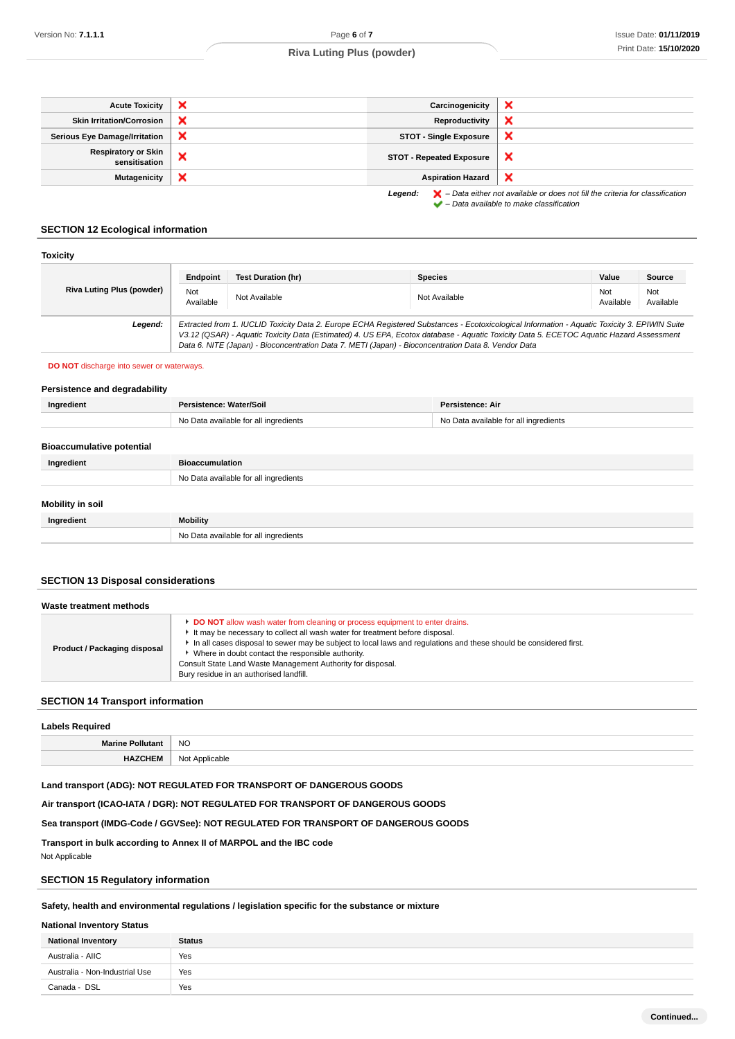**Continued...**

# **Riva Luting Plus (powder)**

| <b>Acute Toxicity</b>                       | × | Carcinogenicity                 | $\boldsymbol{\mathsf{x}}$                                                                          |
|---------------------------------------------|---|---------------------------------|----------------------------------------------------------------------------------------------------|
| <b>Skin Irritation/Corrosion</b>            | × | Reproductivity                  | ×                                                                                                  |
| <b>Serious Eye Damage/Irritation</b>        | × | <b>STOT - Single Exposure</b>   | ×                                                                                                  |
| <b>Respiratory or Skin</b><br>sensitisation | × | <b>STOT - Repeated Exposure</b> | ×                                                                                                  |
| <b>Mutagenicity</b>                         | × | <b>Aspiration Hazard</b>        | $\boldsymbol{\mathsf{x}}$                                                                          |
|                                             |   | Legend:                         | $\blacktriangleright$ - Data either not available or does not fill the criteria for classification |

 $\blacktriangleright$  – Data available to make classification

**SECTION 12 Ecological information**

| <b>Toxicity</b>                  |                                                                                                                                                                                                                                                                                                                                                                                                 |                    |                |                  |                  |
|----------------------------------|-------------------------------------------------------------------------------------------------------------------------------------------------------------------------------------------------------------------------------------------------------------------------------------------------------------------------------------------------------------------------------------------------|--------------------|----------------|------------------|------------------|
|                                  | Endpoint                                                                                                                                                                                                                                                                                                                                                                                        | Test Duration (hr) | <b>Species</b> | Value            | Source           |
| <b>Riva Luting Plus (powder)</b> | Not<br>Available                                                                                                                                                                                                                                                                                                                                                                                | Not Available      | Not Available  | Not<br>Available | Not<br>Available |
| Legend:                          | Extracted from 1. IUCLID Toxicity Data 2. Europe ECHA Registered Substances - Ecotoxicological Information - Aquatic Toxicity 3. EPIWIN Suite<br>V3.12 (QSAR) - Aquatic Toxicity Data (Estimated) 4. US EPA, Ecotox database - Aquatic Toxicity Data 5. ECETOC Aquatic Hazard Assessment<br>Data 6. NITE (Japan) - Bioconcentration Data 7. METI (Japan) - Bioconcentration Data 8. Vendor Data |                    |                |                  |                  |

#### **DO NOT** discharge into sewer or waterways.

#### **Persistence and degradability**

| Ingredient                       | Persistence: Water/Soil<br><b>Persistence: Air</b>                             |  |
|----------------------------------|--------------------------------------------------------------------------------|--|
|                                  | No Data available for all ingredients<br>No Data available for all ingredients |  |
|                                  |                                                                                |  |
| <b>Bioaccumulative potential</b> |                                                                                |  |
| Ingredient                       | <b>Bioaccumulation</b>                                                         |  |
|                                  | No Data available for all ingredients                                          |  |
|                                  |                                                                                |  |
| Mobility in soil                 |                                                                                |  |
| Ingredient                       | Mobility                                                                       |  |
|                                  | No Data available for all ingredients                                          |  |

## **SECTION 13 Disposal considerations**

| Waste treatment methods      |                                                                                                                                                                                                                                                                                                                                                                                                                                                 |  |
|------------------------------|-------------------------------------------------------------------------------------------------------------------------------------------------------------------------------------------------------------------------------------------------------------------------------------------------------------------------------------------------------------------------------------------------------------------------------------------------|--|
| Product / Packaging disposal | DO NOT allow wash water from cleaning or process equipment to enter drains.<br>It may be necessary to collect all wash water for treatment before disposal.<br>In all cases disposal to sewer may be subject to local laws and requlations and these should be considered first.<br>Where in doubt contact the responsible authority.<br>Consult State Land Waste Management Authority for disposal.<br>Bury residue in an authorised landfill. |  |

## **SECTION 14 Transport information**

| <b>Labels Required</b>  |                |  |
|-------------------------|----------------|--|
| <b>Marine Pollutant</b> | <b>NO</b>      |  |
| <b>HAZCHEM</b>          | Not Applicable |  |

#### **Land transport (ADG): NOT REGULATED FOR TRANSPORT OF DANGEROUS GOODS**

**Air transport (ICAO-IATA / DGR): NOT REGULATED FOR TRANSPORT OF DANGEROUS GOODS**

#### **Sea transport (IMDG-Code / GGVSee): NOT REGULATED FOR TRANSPORT OF DANGEROUS GOODS**

**Transport in bulk according to Annex II of MARPOL and the IBC code**

Not Applicable

## **SECTION 15 Regulatory information**

#### **Safety, health and environmental regulations / legislation specific for the substance or mixture**

## **National Inventory Status**

| <b>National Inventory</b>      | <b>Status</b> |
|--------------------------------|---------------|
| Australia - AIIC               | Yes           |
| Australia - Non-Industrial Use | Yes           |
| Canada - DSL                   | Yes           |
|                                |               |